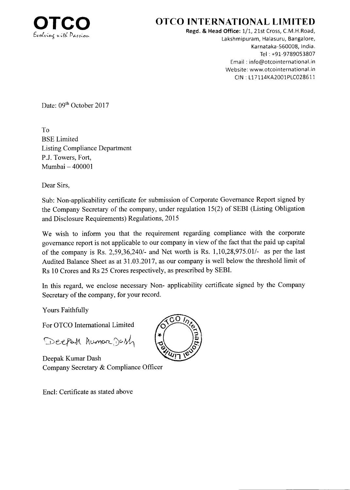

## OTCO INTERNATIONAL LIMITED

Regd. & Head Office: 1/1, 21st Cross, C.M.H.Road, Lakshmipuram, Halasuru, Bangalore, Karnataka-560008, lndia. Tel : +9L-9789053807 Email : info@otcointernational.in Website: www.otcointernational.in CIN : 117114KA2001P1C028611

Date: 09<sup>th</sup> October 2017

To BSE Limited Listing Compliance Department P.J. Towers, Fort, Mumbai - <sup>400001</sup>

Dear Sirs,

Sub: Non-applicability certificate for submission of Corporate Governance Report signed by the Company Secretary of the company, under regulation 15(2) of SEBI (Listing Obligation and Disclosure Requirements) Regulations, 2015

We wish to inform you that the requirement regarding compliance with the corporate govemance report is not applicable to our company in view of the fact that the paid up capital of the company is Rs.  $2.59,36,240/4$  and Net worth is Rs.  $1,10,28,975.01/4$  as per the last Audited Balance Sheet as at 31.03.2017, as our company is well below the threshold limit of Rs l0 Crores and Rs 25 Crores respectively, as prescribed by SEBI.

In this regard, we enclose necessary Non- applicability certificate signed by the Company Secretary of the company, for your record.

Yours Faithfully

For OTCO International Limited

Deepah humore. Dash

Deepak Kumar Dash Company Secretary & Compliance Officer

Encl: Certificate as stated above